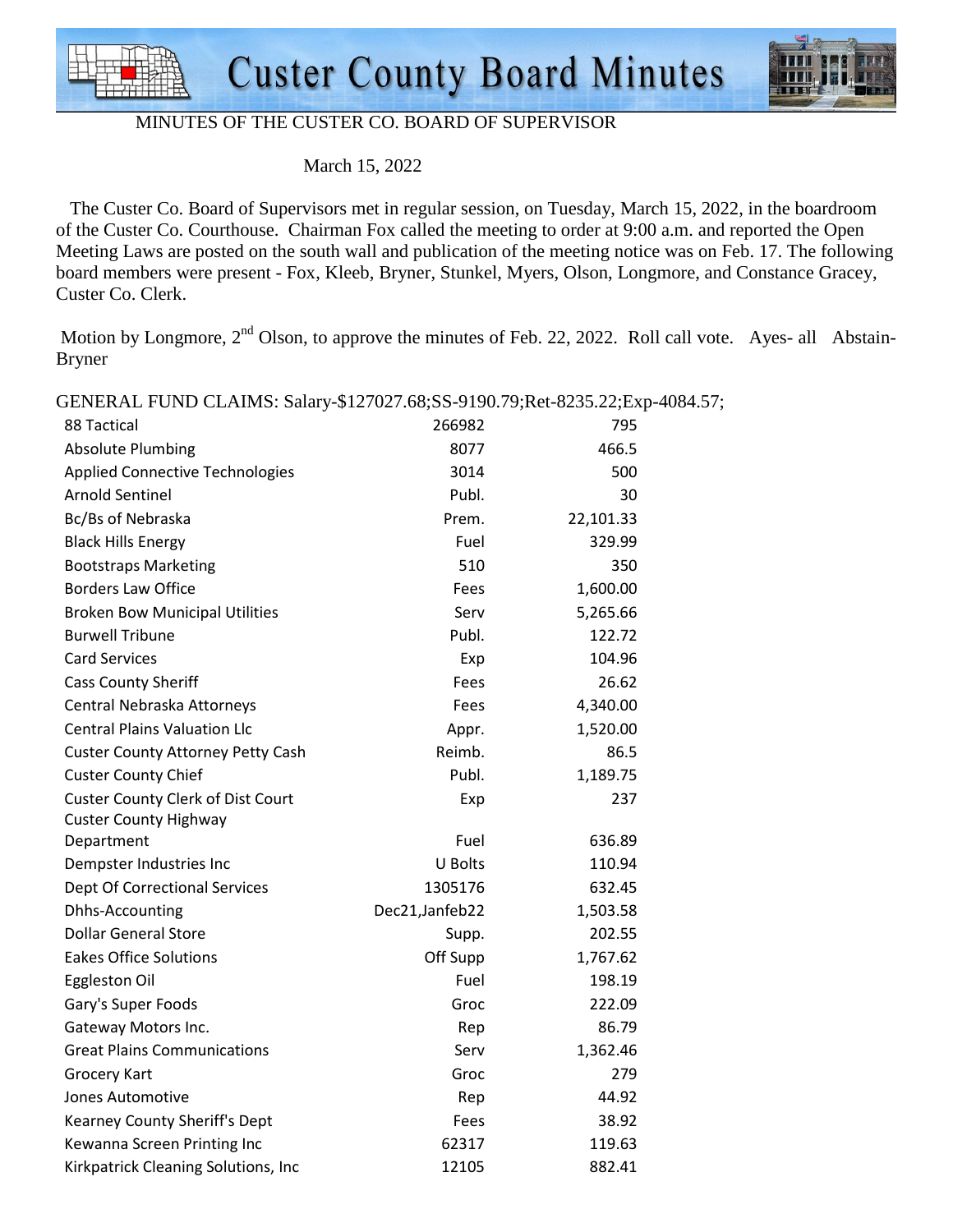



#### MINUTES OF THE CUSTER CO. BOARD OF SUPERVISOR

March 15, 2022

 The Custer Co. Board of Supervisors met in regular session, on Tuesday, March 15, 2022, in the boardroom of the Custer Co. Courthouse. Chairman Fox called the meeting to order at 9:00 a.m. and reported the Open Meeting Laws are posted on the south wall and publication of the meeting notice was on Feb. 17. The following board members were present - Fox, Kleeb, Bryner, Stunkel, Myers, Olson, Longmore, and Constance Gracey, Custer Co. Clerk.

Motion by Longmore,  $2<sup>nd</sup>$  Olson, to approve the minutes of Feb. 22, 2022. Roll call vote. Ayes- all Abstain-Bryner

| OLIVERAL POIVD CLAIND. Salary-\$127027.00,00-7170.77,RCC-0299.22,Exp-400 |                 |           |
|--------------------------------------------------------------------------|-----------------|-----------|
| 88 Tactical                                                              | 266982          | 795       |
| <b>Absolute Plumbing</b>                                                 | 8077            | 466.5     |
| <b>Applied Connective Technologies</b>                                   | 3014            | 500       |
| <b>Arnold Sentinel</b>                                                   | Publ.           | 30        |
| Bc/Bs of Nebraska                                                        | Prem.           | 22,101.33 |
| <b>Black Hills Energy</b>                                                | Fuel            | 329.99    |
| <b>Bootstraps Marketing</b>                                              | 510             | 350       |
| <b>Borders Law Office</b>                                                | Fees            | 1,600.00  |
| <b>Broken Bow Municipal Utilities</b>                                    | Serv            | 5,265.66  |
| <b>Burwell Tribune</b>                                                   | Publ.           | 122.72    |
| <b>Card Services</b>                                                     | Exp             | 104.96    |
| <b>Cass County Sheriff</b>                                               | Fees            | 26.62     |
| Central Nebraska Attorneys                                               | Fees            | 4,340.00  |
| <b>Central Plains Valuation Llc</b>                                      | Appr.           | 1,520.00  |
| <b>Custer County Attorney Petty Cash</b>                                 | Reimb.          | 86.5      |
| <b>Custer County Chief</b>                                               | Publ.           | 1,189.75  |
| <b>Custer County Clerk of Dist Court</b>                                 | Exp             | 237       |
| <b>Custer County Highway</b>                                             |                 |           |
| Department                                                               | Fuel            | 636.89    |
| Dempster Industries Inc                                                  | U Bolts         | 110.94    |
| Dept Of Correctional Services                                            | 1305176         | 632.45    |
| Dhhs-Accounting                                                          | Dec21, Janfeb22 | 1,503.58  |
| <b>Dollar General Store</b>                                              | Supp.           | 202.55    |
| <b>Eakes Office Solutions</b>                                            | Off Supp        | 1,767.62  |
| Eggleston Oil                                                            | Fuel            | 198.19    |
| Gary's Super Foods                                                       | Groc            | 222.09    |
| Gateway Motors Inc.                                                      | Rep             | 86.79     |
| <b>Great Plains Communications</b>                                       | Serv            | 1,362.46  |
| <b>Grocery Kart</b>                                                      | Groc            | 279       |
| Jones Automotive                                                         | Rep             | 44.92     |
| Kearney County Sheriff's Dept                                            | Fees            | 38.92     |
| Kewanna Screen Printing Inc                                              | 62317           | 119.63    |
| Kirkpatrick Cleaning Solutions, Inc                                      | 12105           | 882.41    |
|                                                                          |                 |           |

GENERAL FUND CLAIMS: Salary-\$127027.68;SS-9190.79;Ret-8235.22;Exp-4084.57;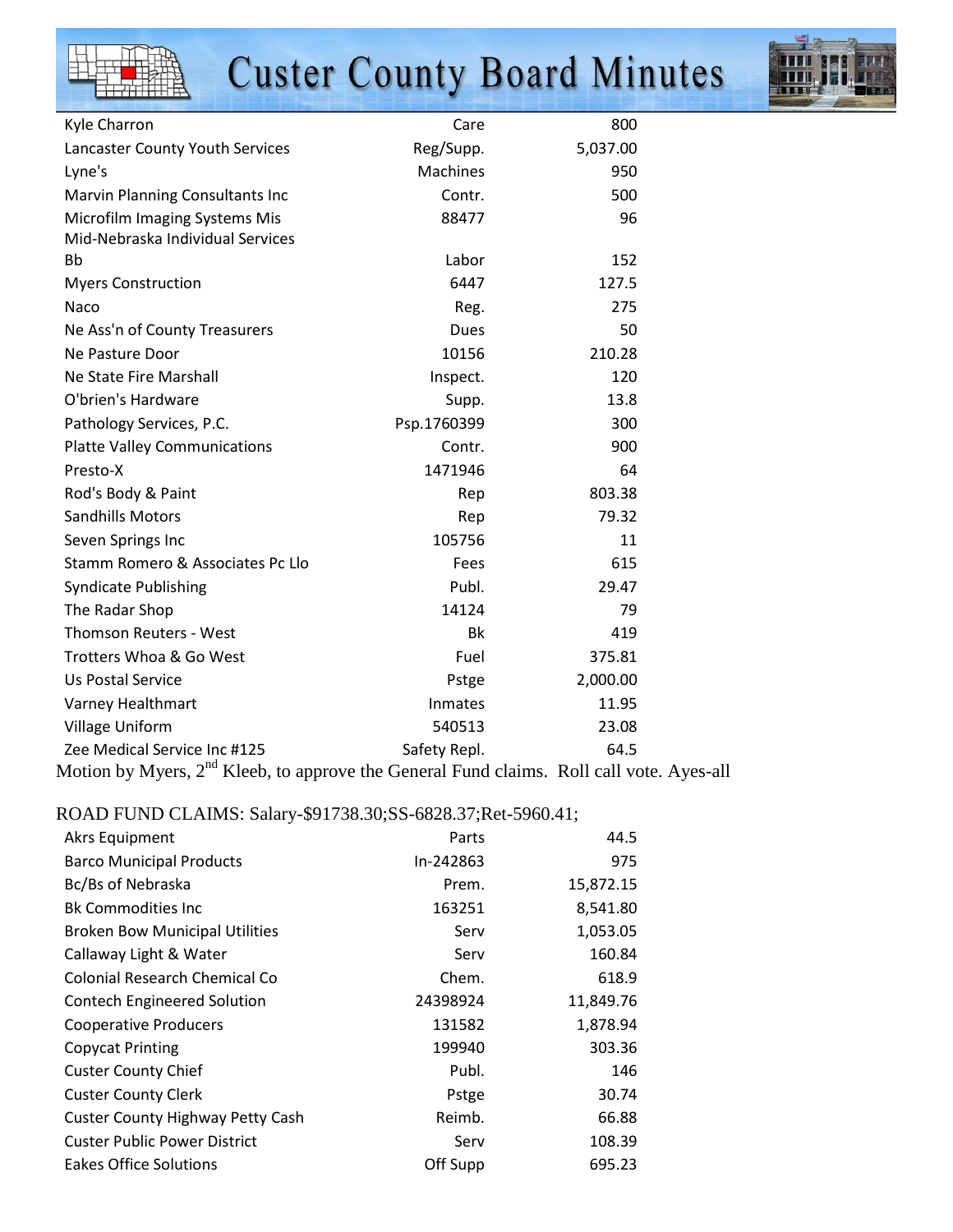

# **Custer County Board Minutes**



| Kyle Charron                                                                                         | Care            | 800      |
|------------------------------------------------------------------------------------------------------|-----------------|----------|
| Lancaster County Youth Services                                                                      | Reg/Supp.       | 5,037.00 |
| Lyne's                                                                                               | <b>Machines</b> | 950      |
| Marvin Planning Consultants Inc                                                                      | Contr.          | 500      |
| Microfilm Imaging Systems Mis                                                                        | 88477           | 96       |
| Mid-Nebraska Individual Services                                                                     |                 |          |
| <b>Bb</b>                                                                                            | Labor           | 152      |
| <b>Myers Construction</b>                                                                            | 6447            | 127.5    |
| Naco                                                                                                 | Reg.            | 275      |
| Ne Ass'n of County Treasurers                                                                        | Dues            | 50       |
| Ne Pasture Door                                                                                      | 10156           | 210.28   |
| Ne State Fire Marshall                                                                               | Inspect.        | 120      |
| O'brien's Hardware                                                                                   | Supp.           | 13.8     |
| Pathology Services, P.C.                                                                             | Psp.1760399     | 300      |
| <b>Platte Valley Communications</b>                                                                  | Contr.          | 900      |
| Presto-X                                                                                             | 1471946         | 64       |
| Rod's Body & Paint                                                                                   | Rep             | 803.38   |
| <b>Sandhills Motors</b>                                                                              | Rep             | 79.32    |
| Seven Springs Inc                                                                                    | 105756          | 11       |
| Stamm Romero & Associates Pc Llo                                                                     | Fees            | 615      |
| <b>Syndicate Publishing</b>                                                                          | Publ.           | 29.47    |
| The Radar Shop                                                                                       | 14124           | 79       |
| <b>Thomson Reuters - West</b>                                                                        | <b>Bk</b>       | 419      |
| Trotters Whoa & Go West                                                                              | Fuel            | 375.81   |
| Us Postal Service                                                                                    | Pstge           | 2,000.00 |
| Varney Healthmart                                                                                    | Inmates         | 11.95    |
| Village Uniform                                                                                      | 540513          | 23.08    |
| Zee Medical Service Inc #125                                                                         | Safety Repl.    | 64.5     |
| Motion by Myers, 2 <sup>nd</sup> Kleeb, to approve the General Fund claims. Roll call vote. Ayes-all |                 |          |

### ROAD FUND CLAIMS: Salary-\$91738.30;SS-6828.37;Ret-5960.41;

| <b>Akrs Equipment</b>                   | Parts     | 44.5      |
|-----------------------------------------|-----------|-----------|
| <b>Barco Municipal Products</b>         | In-242863 | 975       |
| Bc/Bs of Nebraska                       | Prem.     | 15,872.15 |
| <b>Bk Commodities Inc.</b>              | 163251    | 8,541.80  |
| <b>Broken Bow Municipal Utilities</b>   | Serv      | 1,053.05  |
| Callaway Light & Water                  | Serv      | 160.84    |
| Colonial Research Chemical Co           | Chem.     | 618.9     |
| <b>Contech Engineered Solution</b>      | 24398924  | 11,849.76 |
| <b>Cooperative Producers</b>            | 131582    | 1,878.94  |
| <b>Copycat Printing</b>                 | 199940    | 303.36    |
| <b>Custer County Chief</b>              | Publ.     | 146       |
| <b>Custer County Clerk</b>              | Pstge     | 30.74     |
| <b>Custer County Highway Petty Cash</b> | Reimb.    | 66.88     |
| <b>Custer Public Power District</b>     | Serv      | 108.39    |
| <b>Eakes Office Solutions</b>           | Off Supp  | 695.23    |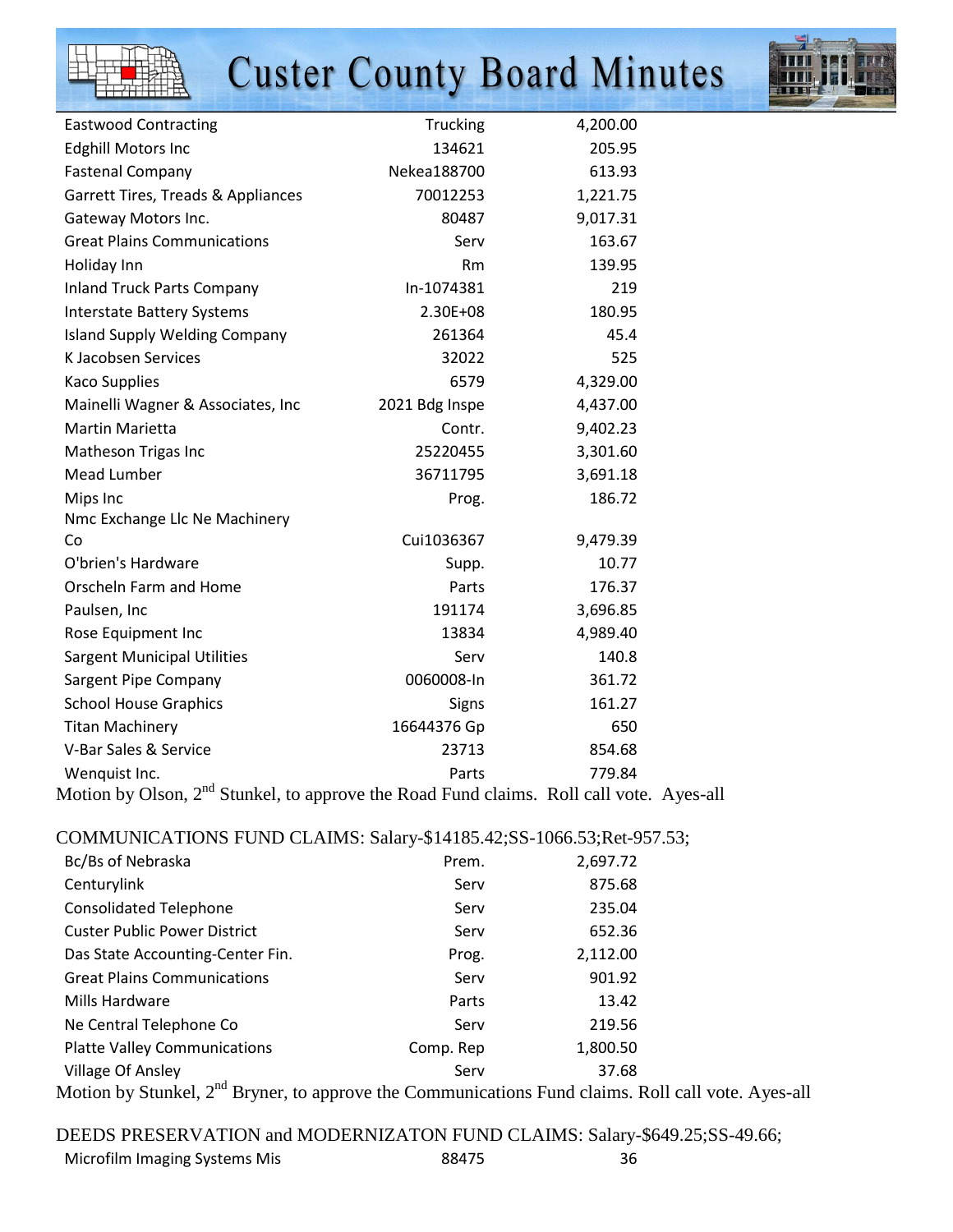

## **Custer County Board Minutes**



| <b>Eastwood Contracting</b>                                                               | Trucking       | 4,200.00 |             |
|-------------------------------------------------------------------------------------------|----------------|----------|-------------|
| <b>Edghill Motors Inc</b>                                                                 | 134621         | 205.95   |             |
| <b>Fastenal Company</b>                                                                   | Nekea188700    | 613.93   |             |
| Garrett Tires, Treads & Appliances                                                        | 70012253       | 1,221.75 |             |
| Gateway Motors Inc.                                                                       | 80487          | 9,017.31 |             |
| <b>Great Plains Communications</b>                                                        | Serv           | 163.67   |             |
| Holiday Inn                                                                               | <b>Rm</b>      | 139.95   |             |
| <b>Inland Truck Parts Company</b>                                                         | In-1074381     | 219      |             |
| <b>Interstate Battery Systems</b>                                                         | 2.30E+08       | 180.95   |             |
| <b>Island Supply Welding Company</b>                                                      | 261364         | 45.4     |             |
| K Jacobsen Services                                                                       | 32022          | 525      |             |
| <b>Kaco Supplies</b>                                                                      | 6579           | 4,329.00 |             |
| Mainelli Wagner & Associates, Inc                                                         | 2021 Bdg Inspe | 4,437.00 |             |
| <b>Martin Marietta</b>                                                                    | Contr.         | 9,402.23 |             |
| Matheson Trigas Inc                                                                       | 25220455       | 3,301.60 |             |
| Mead Lumber                                                                               | 36711795       | 3,691.18 |             |
| Mips Inc                                                                                  | Prog.          | 186.72   |             |
| Nmc Exchange Llc Ne Machinery                                                             |                |          |             |
| Co                                                                                        | Cui1036367     | 9,479.39 |             |
| O'brien's Hardware                                                                        | Supp.          | 10.77    |             |
| Orscheln Farm and Home                                                                    | Parts          | 176.37   |             |
| Paulsen, Inc                                                                              | 191174         | 3,696.85 |             |
| Rose Equipment Inc                                                                        | 13834          | 4,989.40 |             |
| <b>Sargent Municipal Utilities</b>                                                        | Serv           | 140.8    |             |
| Sargent Pipe Company                                                                      | 0060008-ln     | 361.72   |             |
| <b>School House Graphics</b>                                                              | Signs          | 161.27   |             |
| <b>Titan Machinery</b>                                                                    | 16644376 Gp    | 650      |             |
| V-Bar Sales & Service                                                                     | 23713          | 854.68   |             |
| Wenquist Inc.                                                                             | Parts          | 779.84   |             |
| Motion by Olson, 2 <sup>nd</sup> Stunkel, to approve the Road Fund claims. Roll call vote |                |          | $\Delta$ Ve |

Stunkel, to approve the Road Fund claims. Roll call vote. Ayes-all

#### COMMUNICATIONS FUND CLAIMS: Salary-\$14185.42;SS-1066.53;Ret-957.53;

| Bc/Bs of Nebraska                   | Prem.     | 2,697.72                                             |
|-------------------------------------|-----------|------------------------------------------------------|
| Centurylink                         | Serv      | 875.68                                               |
| <b>Consolidated Telephone</b>       | Serv      | 235.04                                               |
| <b>Custer Public Power District</b> | Serv      | 652.36                                               |
| Das State Accounting-Center Fin.    | Prog.     | 2,112.00                                             |
| <b>Great Plains Communications</b>  | Serv      | 901.92                                               |
| Mills Hardware                      | Parts     | 13.42                                                |
| Ne Central Telephone Co             | Serv      | 219.56                                               |
| <b>Platte Valley Communications</b> | Comp. Rep | 1,800.50                                             |
| Village Of Ansley                   | Serv      | 37.68                                                |
| 11. 1 0. 1 1 0. 1 1 0.              |           | $\mathbf{1}$ $\mathbf{1}$ $\mathbf{1}$<br>$\sqrt{2}$ |

Motion by Stunkel, 2<sup>nd</sup> Bryner, to approve the Communications Fund claims. Roll call vote. Ayes-all

DEEDS PRESERVATION and MODERNIZATON FUND CLAIMS: Salary-\$649.25;SS-49.66; Microfilm Imaging Systems Mis 88475 88475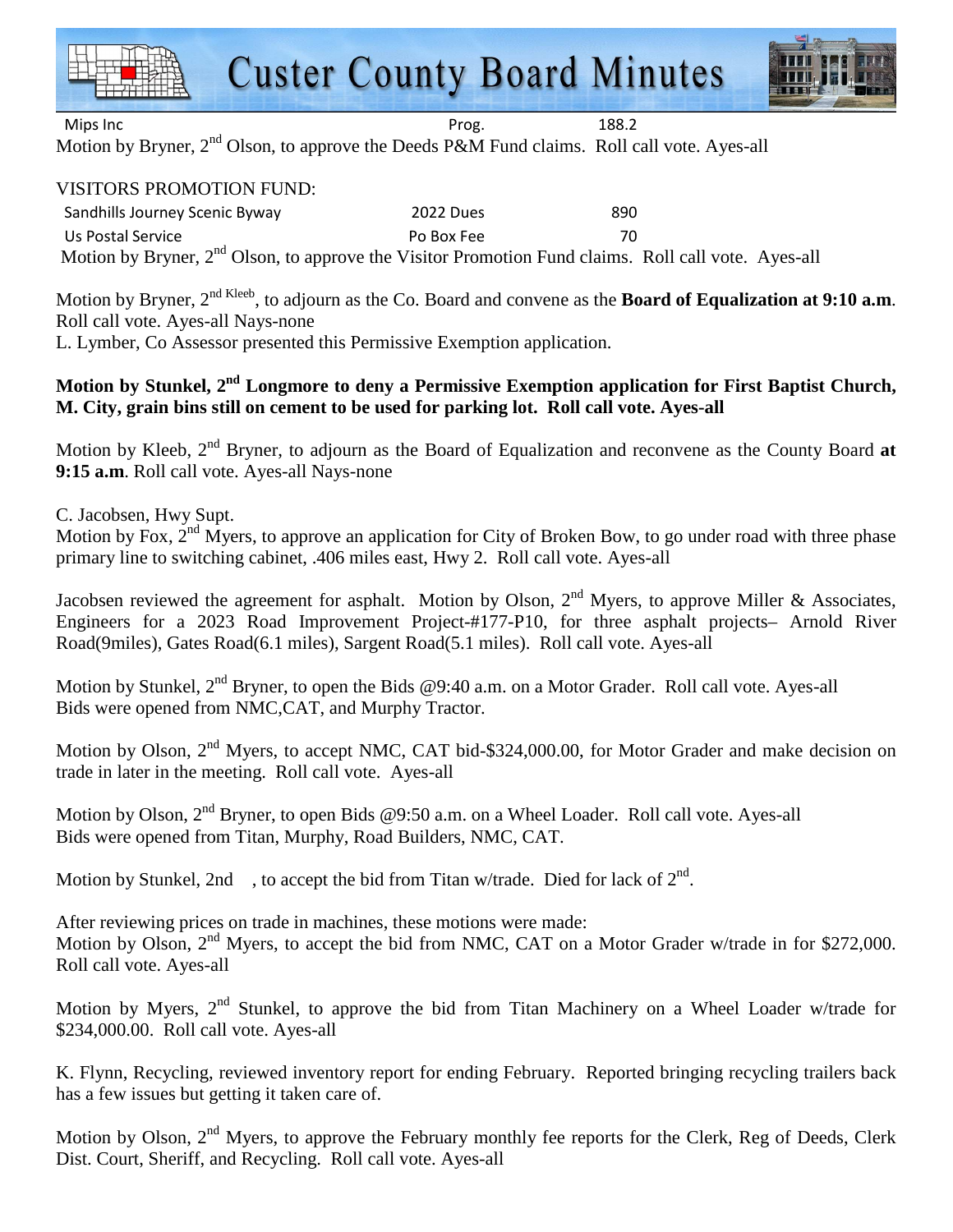



Mips Inc **Mips Inc. Prog.** 288.2

Motion by Bryner,  $2<sup>nd</sup>$  Olson, to approve the Deeds P&M Fund claims. Roll call vote. Ayes-all

### VISITORS PROMOTION FUND:

Sandhills Journey Scenic Byway 2022 Dues 890 Us Postal Service **Po Box Fee** 70 Motion by Bryner, 2<sup>nd</sup> Olson, to approve the Visitor Promotion Fund claims. Roll call vote. Ayes-all

Motion by Bryner, 2nd Kleeb, to adjourn as the Co. Board and convene as the **Board of Equalization at 9:10 a.m**. Roll call vote. Ayes-all Nays-none

L. Lymber, Co Assessor presented this Permissive Exemption application.

### **Motion by Stunkel, 2nd Longmore to deny a Permissive Exemption application for First Baptist Church, M. City, grain bins still on cement to be used for parking lot. Roll call vote. Ayes-all**

Motion by Kleeb, 2<sup>nd</sup> Bryner, to adjourn as the Board of Equalization and reconvene as the County Board at **9:15 a.m**. Roll call vote. Ayes-all Nays-none

C. Jacobsen, Hwy Supt.

Motion by Fox, 2<sup>nd</sup> Myers, to approve an application for City of Broken Bow, to go under road with three phase primary line to switching cabinet, .406 miles east, Hwy 2. Roll call vote. Ayes-all

Jacobsen reviewed the agreement for asphalt. Motion by Olson,  $2<sup>nd</sup>$  Myers, to approve Miller & Associates, Engineers for a 2023 Road Improvement Project-#177-P10, for three asphalt projects– Arnold River Road(9miles), Gates Road(6.1 miles), Sargent Road(5.1 miles). Roll call vote. Ayes-all

Motion by Stunkel, 2<sup>nd</sup> Bryner, to open the Bids @9:40 a.m. on a Motor Grader. Roll call vote. Ayes-all Bids were opened from NMC,CAT, and Murphy Tractor.

Motion by Olson, 2<sup>nd</sup> Myers, to accept NMC, CAT bid-\$324,000.00, for Motor Grader and make decision on trade in later in the meeting. Roll call vote. Ayes-all

Motion by Olson, 2<sup>nd</sup> Bryner, to open Bids @9:50 a.m. on a Wheel Loader. Roll call vote. Ayes-all Bids were opened from Titan, Murphy, Road Builders, NMC, CAT.

Motion by Stunkel, 2nd, to accept the bid from Titan w/trade. Died for lack of  $2<sup>nd</sup>$ .

After reviewing prices on trade in machines, these motions were made: Motion by Olson, 2<sup>nd</sup> Myers, to accept the bid from NMC, CAT on a Motor Grader w/trade in for \$272,000. Roll call vote. Ayes-all

Motion by Myers, 2<sup>nd</sup> Stunkel, to approve the bid from Titan Machinery on a Wheel Loader w/trade for \$234,000.00. Roll call vote. Ayes-all

K. Flynn, Recycling, reviewed inventory report for ending February. Reported bringing recycling trailers back has a few issues but getting it taken care of.

Motion by Olson,  $2<sup>nd</sup>$  Myers, to approve the February monthly fee reports for the Clerk, Reg of Deeds, Clerk Dist. Court, Sheriff, and Recycling. Roll call vote. Ayes-all